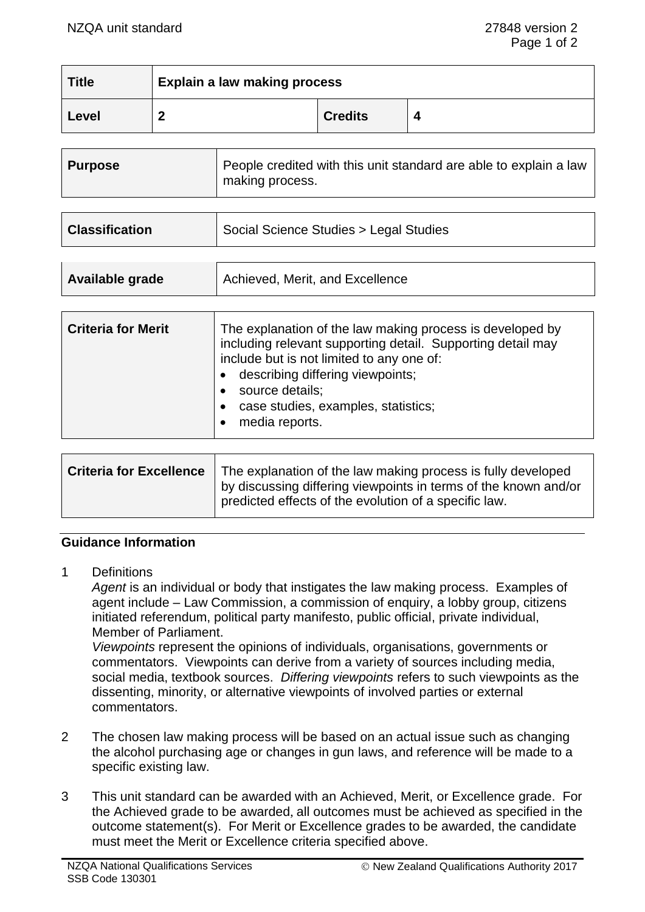| <b>Title</b> | <b>Explain a law making process</b> |                |  |
|--------------|-------------------------------------|----------------|--|
| Level        |                                     | <b>Credits</b> |  |

| People credited with this unit standard are able to explain a law |  | <b>Purpose</b> | making process. |
|-------------------------------------------------------------------|--|----------------|-----------------|
|-------------------------------------------------------------------|--|----------------|-----------------|

| <b>Classification</b> | Social Science Studies > Legal Studies |
|-----------------------|----------------------------------------|
|                       |                                        |

| Available grade | Achieved, Merit, and Excellence |
|-----------------|---------------------------------|
|                 |                                 |

| <b>Criteria for Merit</b> | The explanation of the law making process is developed by<br>including relevant supporting detail. Supporting detail may<br>include but is not limited to any one of:<br>describing differing viewpoints;<br>source details;<br>case studies, examples, statistics;<br>media reports. |
|---------------------------|---------------------------------------------------------------------------------------------------------------------------------------------------------------------------------------------------------------------------------------------------------------------------------------|
|---------------------------|---------------------------------------------------------------------------------------------------------------------------------------------------------------------------------------------------------------------------------------------------------------------------------------|

| Criteria for Excellence   The explanation of the law making process is fully developed<br>by discussing differing viewpoints in terms of the known and/or<br>predicted effects of the evolution of a specific law. |
|--------------------------------------------------------------------------------------------------------------------------------------------------------------------------------------------------------------------|
|                                                                                                                                                                                                                    |

## **Guidance Information**

1 Definitions

Agent is an individual or body that instigates the law making process. Examples of agent include – Law Commission, a commission of enquiry, a lobby group, citizens initiated referendum, political party manifesto, public official, private individual, Member of Parliament.

*Viewpoints* represent the opinions of individuals, organisations, governments or commentators. Viewpoints can derive from a variety of sources including media, social media, textbook sources. *Differing viewpoints* refers to such viewpoints as the dissenting, minority, or alternative viewpoints of involved parties or external commentators.

- 2 The chosen law making process will be based on an actual issue such as changing the alcohol purchasing age or changes in gun laws, and reference will be made to a specific existing law.
- 3 This unit standard can be awarded with an Achieved, Merit, or Excellence grade. For the Achieved grade to be awarded, all outcomes must be achieved as specified in the outcome statement(s). For Merit or Excellence grades to be awarded, the candidate must meet the Merit or Excellence criteria specified above.